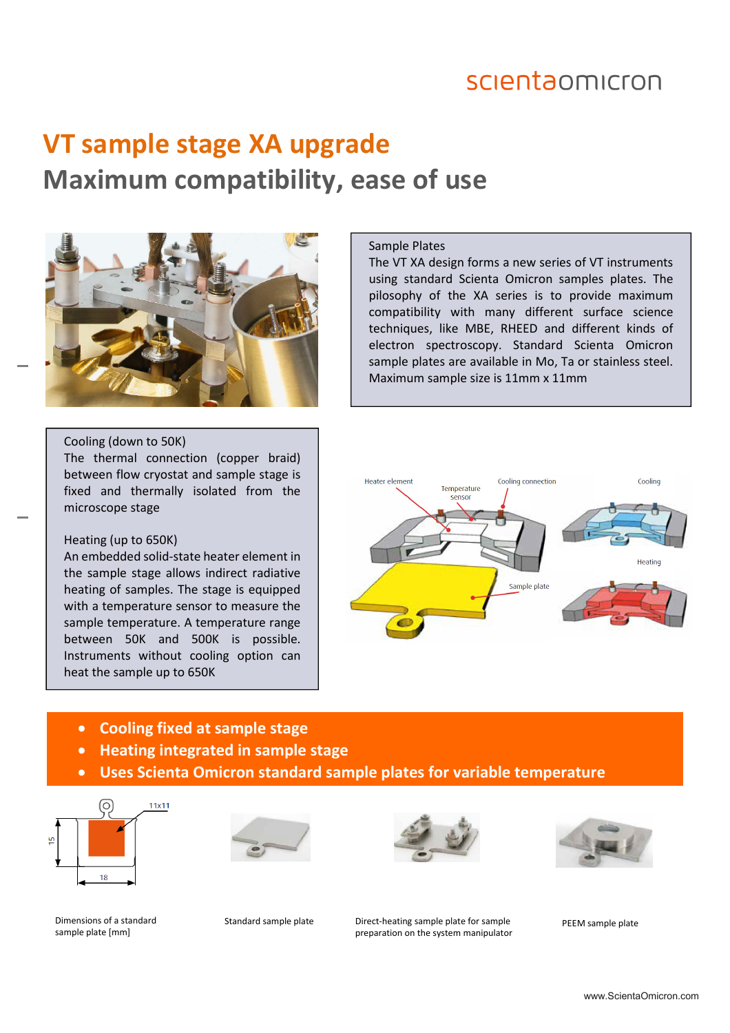### scientaomicron

# **VT sample stage XA upgrade Maximum compatibility, ease of use**



#### Cooling (down to 50K)

The thermal connection (copper braid) between flow cryostat and sample stage is fixed and thermally isolated from the microscope stage

#### Heating (up to 650K)

An embedded solid-state heater element in the sample stage allows indirect radiative heating of samples. The stage is equipped with a temperature sensor to measure the sample temperature. A temperature range between 50K and 500K is possible. Instruments without cooling option can heat the sample up to 650K

#### Sample Plates

The VT XA design forms a new series of VT instruments using standard Scienta Omicron samples plates. The pilosophy of the XA series is to provide maximum compatibility with many different surface science techniques, like MBE, RHEED and different kinds of electron spectroscopy. Standard Scienta Omicron sample plates are available in Mo, Ta or stainless steel. Maximum sample size is 11mm x 11mm



- **Cooling fixed at sample stage**
- **Heating integrated in sample stage**
- **Uses Scienta Omicron standard sample plates for variable temperature**









sample plate [mm]

Dimensions of a standard **Standard sample plate** Direct-heating sample plate for sample **PEEM** sample plate preparation on the system manipulator